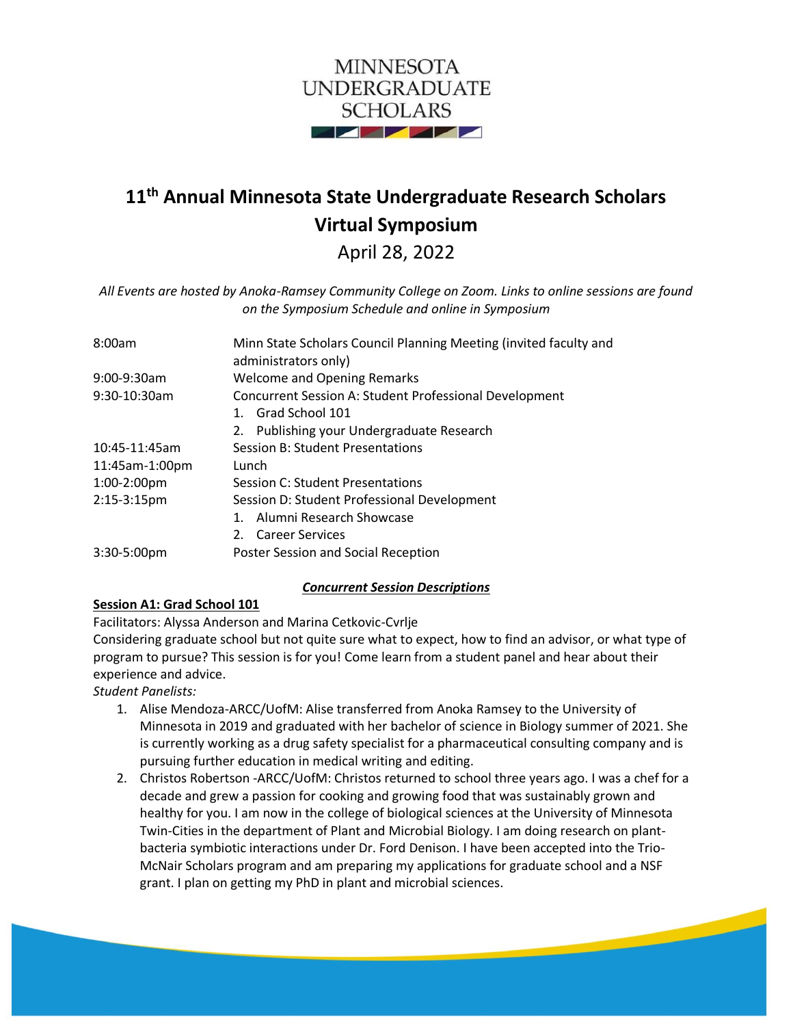

# **11th Annual Minnesota State Undergraduate Research Scholars Virtual Symposium**

April 28, 2022

*All Events are hosted by Anoka-Ramsey Community College on Zoom. Links to online sessions are found on the Symposium Schedule and online in Symposium*

| 8:00am         | Minn State Scholars Council Planning Meeting (invited faculty and<br>administrators only) |
|----------------|-------------------------------------------------------------------------------------------|
| $9:00-9:30am$  | <b>Welcome and Opening Remarks</b>                                                        |
| $9:30-10:30am$ | <b>Concurrent Session A: Student Professional Development</b>                             |
|                | 1. Grad School 101                                                                        |
|                | Publishing your Undergraduate Research<br>2.                                              |
| 10:45-11:45am  | <b>Session B: Student Presentations</b>                                                   |
| 11:45am-1:00pm | Lunch                                                                                     |
| 1:00-2:00pm    | Session C: Student Presentations                                                          |
| $2:15-3:15$ pm | Session D: Student Professional Development                                               |
|                | 1. Alumni Research Showcase                                                               |
|                | 2. Career Services                                                                        |
| $3:30-5:00$ pm | Poster Session and Social Reception                                                       |

### *Concurrent Session Descriptions*

#### **Session A1: Grad School 101**

Facilitators: Alyssa Anderson and Marina Cetkovic-Cvrlje

Considering graduate school but not quite sure what to expect, how to find an advisor, or what type of program to pursue? This session is for you! Come learn from a student panel and hear about their experience and advice.

*Student Panelists:*

- 1. Alise Mendoza-ARCC/UofM: Alise transferred from Anoka Ramsey to the University of Minnesota in 2019 and graduated with her bachelor of science in Biology summer of 2021. She is currently working as a drug safety specialist for a pharmaceutical consulting company and is pursuing further education in medical writing and editing.
- 2. Christos Robertson -ARCC/UofM: Christos returned to school three years ago. I was a chef for a decade and grew a passion for cooking and growing food that was sustainably grown and healthy for you. I am now in the college of biological sciences at the University of Minnesota Twin-Cities in the department of Plant and Microbial Biology. I am doing research on plantbacteria symbiotic interactions under Dr. Ford Denison. I have been accepted into the Trio-McNair Scholars program and am preparing my applications for graduate school and a NSF grant. I plan on getting my PhD in plant and microbial sciences.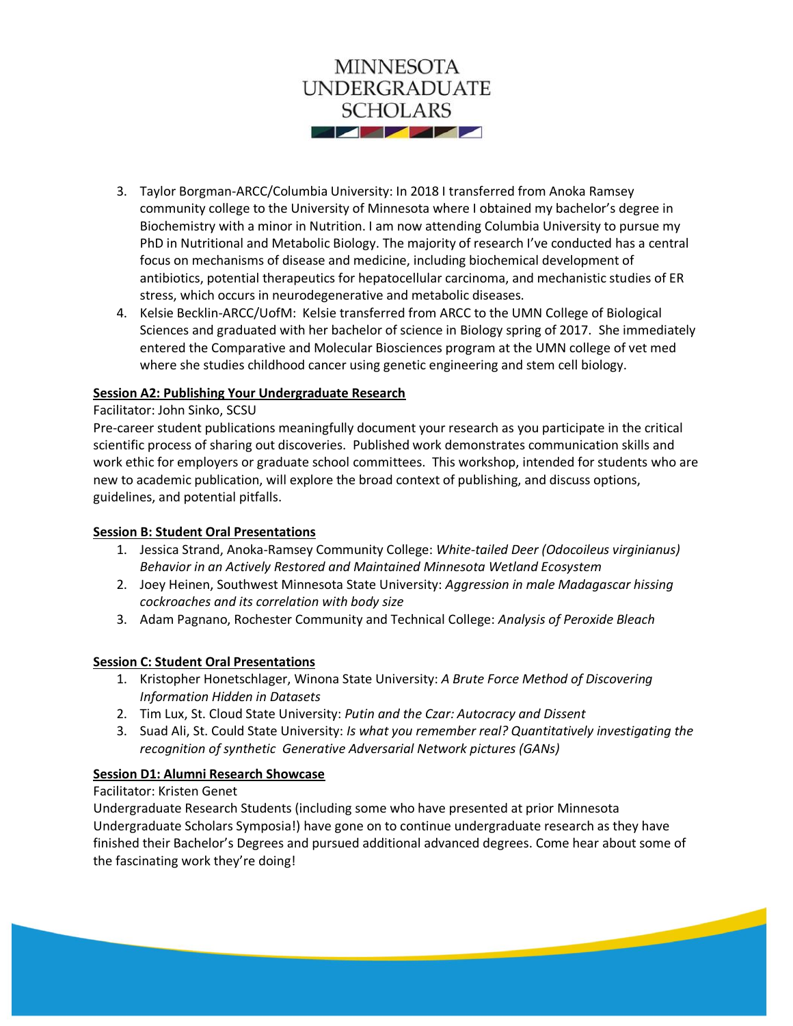

- 3. Taylor Borgman-ARCC/Columbia University: In 2018 I transferred from Anoka Ramsey community college to the University of Minnesota where I obtained my bachelor's degree in Biochemistry with a minor in Nutrition. I am now attending Columbia University to pursue my PhD in Nutritional and Metabolic Biology. The majority of research I've conducted has a central focus on mechanisms of disease and medicine, including biochemical development of antibiotics, potential therapeutics for hepatocellular carcinoma, and mechanistic studies of ER stress, which occurs in neurodegenerative and metabolic diseases.
- 4. Kelsie Becklin-ARCC/UofM: Kelsie transferred from ARCC to the UMN College of Biological Sciences and graduated with her bachelor of science in Biology spring of 2017. She immediately entered the Comparative and Molecular Biosciences program at the UMN college of vet med where she studies childhood cancer using genetic engineering and stem cell biology.

#### **Session A2: Publishing Your Undergraduate Research**

#### Facilitator: John Sinko, SCSU

Pre-career student publications meaningfully document your research as you participate in the critical scientific process of sharing out discoveries. Published work demonstrates communication skills and work ethic for employers or graduate school committees. This workshop, intended for students who are new to academic publication, will explore the broad context of publishing, and discuss options, guidelines, and potential pitfalls.

#### **Session B: Student Oral Presentations**

- 1. Jessica Strand, Anoka-Ramsey Community College: *White-tailed Deer (Odocoileus virginianus) Behavior in an Actively Restored and Maintained Minnesota Wetland Ecosystem*
- 2. Joey Heinen, Southwest Minnesota State University: *Aggression in male Madagascar hissing cockroaches and its correlation with body size*
- 3. Adam Pagnano, Rochester Community and Technical College: *Analysis of Peroxide Bleach*

#### **Session C: Student Oral Presentations**

- 1. Kristopher Honetschlager, Winona State University: *A Brute Force Method of Discovering Information Hidden in Datasets*
- 2. Tim Lux, St. Cloud State University: *Putin and the Czar: Autocracy and Dissent*
- 3. Suad Ali, St. Could State University: *Is what you remember real? Quantitatively investigating the recognition of synthetic Generative Adversarial Network pictures (GANs)*

#### **Session D1: Alumni Research Showcase**

#### Facilitator: Kristen Genet

Undergraduate Research Students (including some who have presented at prior Minnesota Undergraduate Scholars Symposia!) have gone on to continue undergraduate research as they have finished their Bachelor's Degrees and pursued additional advanced degrees. Come hear about some of the fascinating work they're doing!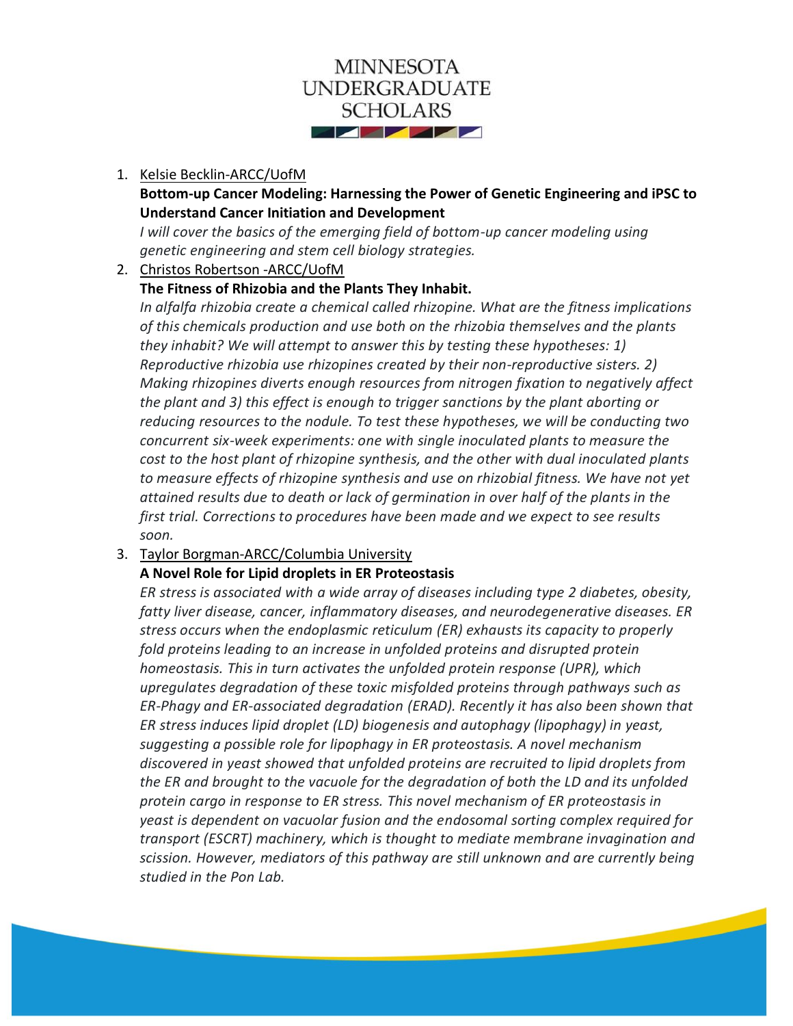

#### 1. Kelsie Becklin-ARCC/UofM

# **Bottom-up Cancer Modeling: Harnessing the Power of Genetic Engineering and iPSC to Understand Cancer Initiation and Development**

*I* will cover the basics of the emerging field of bottom-up cancer modeling using *genetic engineering and stem cell biology strategies.*

#### 2. Christos Robertson -ARCC/UofM

### **The Fitness of Rhizobia and the Plants They Inhabit.**

*In alfalfa rhizobia create a chemical called rhizopine. What are the fitness implications of this chemicals production and use both on the rhizobia themselves and the plants they inhabit? We will attempt to answer this by testing these hypotheses: 1) Reproductive rhizobia use rhizopines created by their non-reproductive sisters. 2) Making rhizopines diverts enough resources from nitrogen fixation to negatively affect the plant and 3) this effect is enough to trigger sanctions by the plant aborting or reducing resources to the nodule. To test these hypotheses, we will be conducting two concurrent six-week experiments: one with single inoculated plants to measure the cost to the host plant of rhizopine synthesis, and the other with dual inoculated plants to measure effects of rhizopine synthesis and use on rhizobial fitness. We have not yet attained results due to death or lack of germination in over half of the plants in the first trial. Corrections to procedures have been made and we expect to see results soon.*

### 3. Taylor Borgman-ARCC/Columbia University

# **A Novel Role for Lipid droplets in ER Proteostasis**

*ER stress is associated with a wide array of diseases including type 2 diabetes, obesity, fatty liver disease, cancer, inflammatory diseases, and neurodegenerative diseases. ER stress occurs when the endoplasmic reticulum (ER) exhausts its capacity to properly fold proteins leading to an increase in unfolded proteins and disrupted protein homeostasis. This in turn activates the unfolded protein response (UPR), which upregulates degradation of these toxic misfolded proteins through pathways such as ER-Phagy and ER-associated degradation (ERAD). Recently it has also been shown that ER stress induces lipid droplet (LD) biogenesis and autophagy (lipophagy) in yeast, suggesting a possible role for lipophagy in ER proteostasis. A novel mechanism discovered in yeast showed that unfolded proteins are recruited to lipid droplets from the ER and brought to the vacuole for the degradation of both the LD and its unfolded protein cargo in response to ER stress. This novel mechanism of ER proteostasis in yeast is dependent on vacuolar fusion and the endosomal sorting complex required for transport (ESCRT) machinery, which is thought to mediate membrane invagination and scission. However, mediators of this pathway are still unknown and are currently being studied in the Pon Lab.*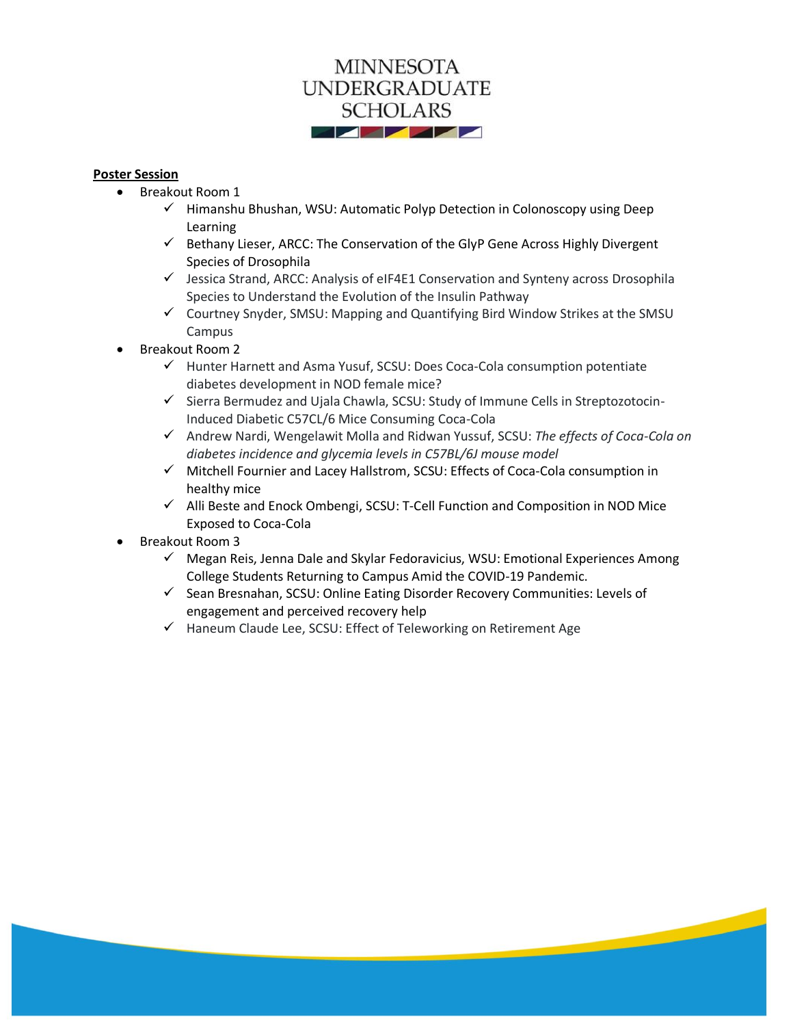

#### **Poster Session**

- Breakout Room 1
	- $\checkmark$  Himanshu Bhushan, WSU: Automatic Polyp Detection in Colonoscopy using Deep Learning
	- $\checkmark$  Bethany Lieser, ARCC: The Conservation of the GlyP Gene Across Highly Divergent Species of Drosophila
	- $\checkmark$  Jessica Strand, ARCC: Analysis of eIF4E1 Conservation and Synteny across Drosophila Species to Understand the Evolution of the Insulin Pathway
	- ✓ Courtney Snyder, SMSU: Mapping and Quantifying Bird Window Strikes at the SMSU Campus
- Breakout Room 2
	- ✓ Hunter Harnett and Asma Yusuf, SCSU: Does Coca-Cola consumption potentiate diabetes development in NOD female mice?
	- ✓ Sierra Bermudez and Ujala Chawla, SCSU: Study of Immune Cells in Streptozotocin-Induced Diabetic C57CL/6 Mice Consuming Coca-Cola
	- ✓ Andrew Nardi, Wengelawit Molla and Ridwan Yussuf, SCSU: *The effects of Coca-Cola on diabetes incidence and glycemia levels in C57BL/6J mouse model*
	- ✓ Mitchell Fournier and Lacey Hallstrom, SCSU: Effects of Coca-Cola consumption in healthy mice
	- ✓ Alli Beste and Enock Ombengi, SCSU: T-Cell Function and Composition in NOD Mice Exposed to Coca-Cola
- Breakout Room 3
	- $\checkmark$  Megan Reis, Jenna Dale and Skylar Fedoravicius, WSU: Emotional Experiences Among College Students Returning to Campus Amid the COVID-19 Pandemic.
	- ✓ Sean Bresnahan, SCSU: Online Eating Disorder Recovery Communities: Levels of engagement and perceived recovery help
	- ✓ Haneum Claude Lee, SCSU: Effect of Teleworking on Retirement Age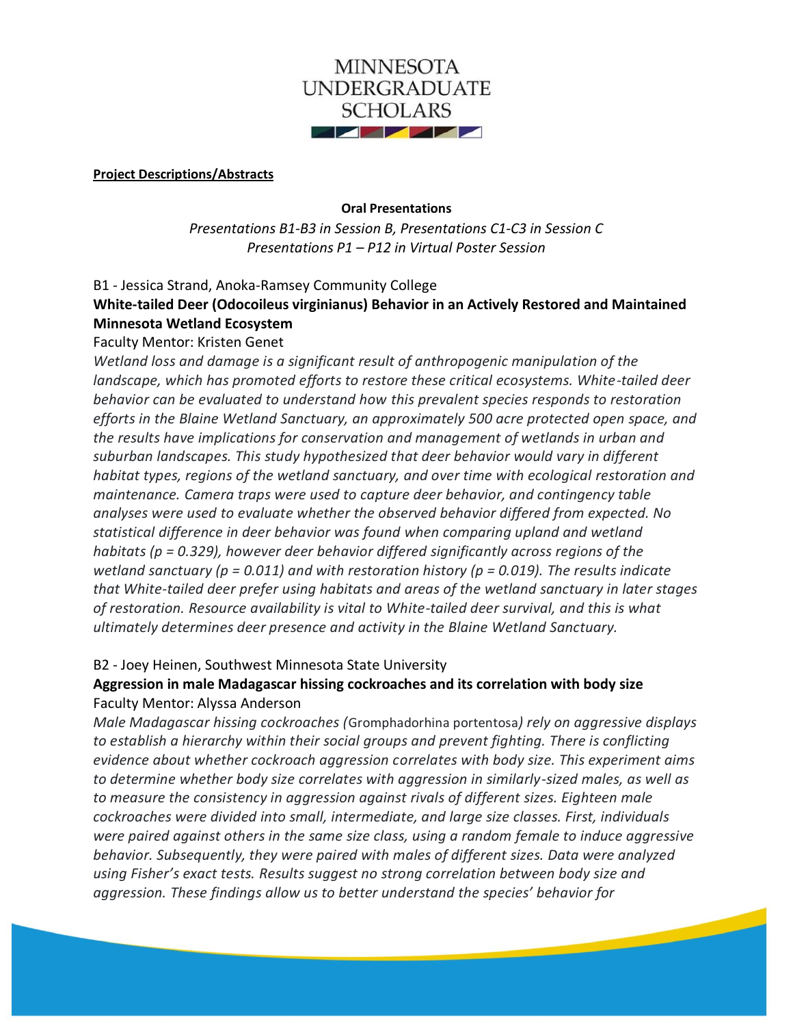

#### **Project Descriptions/Abstracts**

#### **Oral Presentations**

*Presentations B1-B3 in Session B, Presentations C1-C3 in Session C Presentations P1 – P12 in Virtual Poster Session*

B1 - Jessica Strand, Anoka-Ramsey Community College

# **White-tailed Deer (Odocoileus virginianus) Behavior in an Actively Restored and Maintained Minnesota Wetland Ecosystem**

### Faculty Mentor: Kristen Genet

*Wetland loss and damage is a significant result of anthropogenic manipulation of the landscape, which has promoted efforts to restore these critical ecosystems. White-tailed deer behavior can be evaluated to understand how this prevalent species responds to restoration efforts in the Blaine Wetland Sanctuary, an approximately 500 acre protected open space, and the results have implications for conservation and management of wetlands in urban and suburban landscapes. This study hypothesized that deer behavior would vary in different habitat types, regions of the wetland sanctuary, and over time with ecological restoration and maintenance. Camera traps were used to capture deer behavior, and contingency table analyses were used to evaluate whether the observed behavior differed from expected. No statistical difference in deer behavior was found when comparing upland and wetland habitats (p = 0.329), however deer behavior differed significantly across regions of the wetland sanctuary (p = 0.011) and with restoration history (p = 0.019). The results indicate that White-tailed deer prefer using habitats and areas of the wetland sanctuary in later stages of restoration. Resource availability is vital to White-tailed deer survival, and this is what ultimately determines deer presence and activity in the Blaine Wetland Sanctuary.*

# B2 - Joey Heinen, Southwest Minnesota State University

# **Aggression in male Madagascar hissing cockroaches and its correlation with body size** Faculty Mentor: Alyssa Anderson

*Male Madagascar hissing cockroaches (*Gromphadorhina portentosa*) rely on aggressive displays to establish a hierarchy within their social groups and prevent fighting. There is conflicting evidence about whether cockroach aggression correlates with body size. This experiment aims to determine whether body size correlates with aggression in similarly-sized males, as well as to measure the consistency in aggression against rivals of different sizes. Eighteen male cockroaches were divided into small, intermediate, and large size classes. First, individuals were paired against others in the same size class, using a random female to induce aggressive behavior. Subsequently, they were paired with males of different sizes. Data were analyzed using Fisher's exact tests. Results suggest no strong correlation between body size and aggression. These findings allow us to better understand the species' behavior for*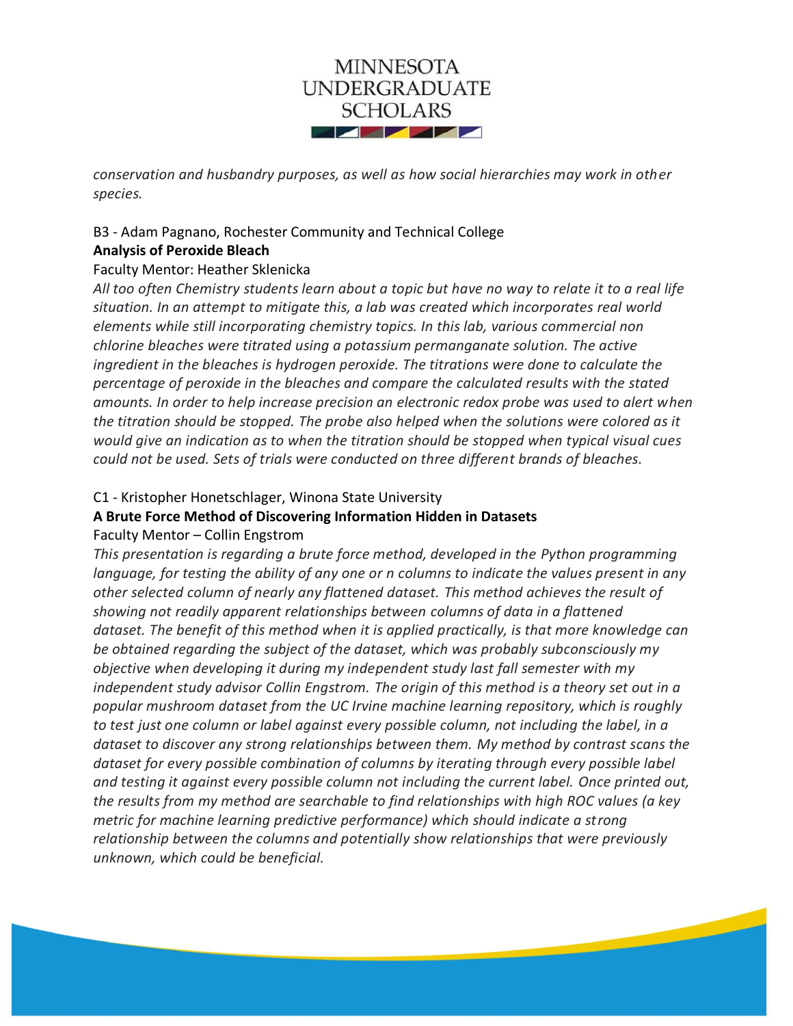

*conservation and husbandry purposes, as well as how social hierarchies may work in other species.*

# B3 - Adam Pagnano, Rochester Community and Technical College **Analysis of Peroxide Bleach**

# Faculty Mentor: Heather Sklenicka

*All too often Chemistry students learn about a topic but have no way to relate it to a real life situation. In an attempt to mitigate this, a lab was created which incorporates real world elements while still incorporating chemistry topics. In this lab, various commercial non chlorine bleaches were titrated using a potassium permanganate solution. The active ingredient in the bleaches is hydrogen peroxide. The titrations were done to calculate the percentage of peroxide in the bleaches and compare the calculated results with the stated amounts. In order to help increase precision an electronic redox probe was used to alert when the titration should be stopped. The probe also helped when the solutions were colored as it would give an indication as to when the titration should be stopped when typical visual cues could not be used. Sets of trials were conducted on three different brands of bleaches.*

# C1 - Kristopher Honetschlager, Winona State University

### **A Brute Force Method of Discovering Information Hidden in Datasets**

# Faculty Mentor – Collin Engstrom

*This presentation is regarding a brute force method, developed in the Python programming language, for testing the ability of any one or n columns to indicate the values present in any other selected column of nearly any flattened dataset. This method achieves the result of showing not readily apparent relationships between columns of data in a flattened dataset. The benefit of this method when it is applied practically, is that more knowledge can be obtained regarding the subject of the dataset, which was probably subconsciously my objective when developing it during my independent study last fall semester with my independent study advisor Collin Engstrom. The origin of this method is a theory set out in a popular mushroom dataset from the UC Irvine machine learning repository, which is roughly to test just one column or label against every possible column, not including the label, in a dataset to discover any strong relationships between them. My method by contrast scans the dataset for every possible combination of columns by iterating through every possible label and testing it against every possible column not including the current label. Once printed out, the results from my method are searchable to find relationships with high ROC values (a key metric for machine learning predictive performance) which should indicate a strong relationship between the columns and potentially show relationships that were previously unknown, which could be beneficial.*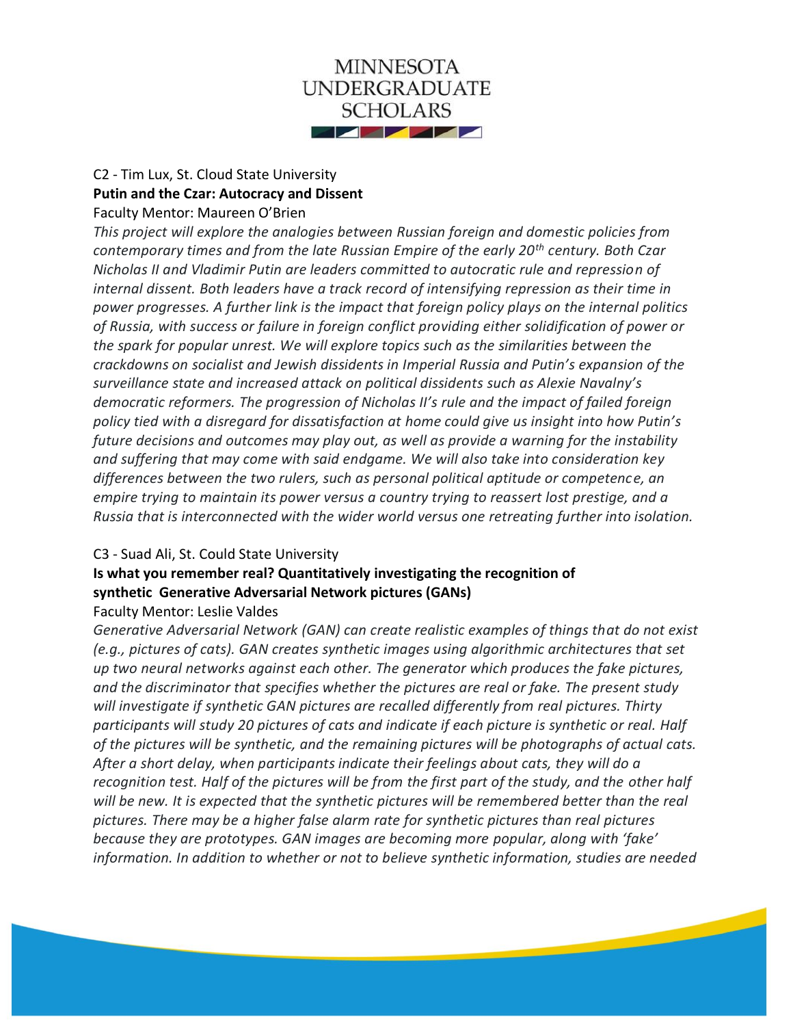

### C2 - Tim Lux, St. Cloud State University **Putin and the Czar: Autocracy and Dissent** Faculty Mentor: Maureen O'Brien

*This project will explore the analogies between Russian foreign and domestic policies from contemporary times and from the late Russian Empire of the early 20th century. Both Czar Nicholas II and Vladimir Putin are leaders committed to autocratic rule and repression of internal dissent. Both leaders have a track record of intensifying repression as their time in power progresses. A further link is the impact that foreign policy plays on the internal politics of Russia, with success or failure in foreign conflict providing either solidification of power or the spark for popular unrest. We will explore topics such as the similarities between the crackdowns on socialist and Jewish dissidents in Imperial Russia and Putin's expansion of the surveillance state and increased attack on political dissidents such as Alexie Navalny's democratic reformers. The progression of Nicholas II's rule and the impact of failed foreign policy tied with a disregard for dissatisfaction at home could give us insight into how Putin's future decisions and outcomes may play out, as well as provide a warning for the instability and suffering that may come with said endgame. We will also take into consideration key differences between the two rulers, such as personal political aptitude or competence, an empire trying to maintain its power versus a country trying to reassert lost prestige, and a Russia that is interconnected with the wider world versus one retreating further into isolation.*

### C3 - Suad Ali, St. Could State University

# **Is what you remember real? Quantitatively investigating the recognition of synthetic Generative Adversarial Network pictures (GANs)**  Faculty Mentor: Leslie Valdes

*Generative Adversarial Network (GAN) can create realistic examples of things that do not exist (e.g., pictures of cats). GAN creates synthetic images using algorithmic architectures that set up two neural networks against each other. The generator which produces the fake pictures, and the discriminator that specifies whether the pictures are real or fake. The present study will investigate if synthetic GAN pictures are recalled differently from real pictures. Thirty participants will study 20 pictures of cats and indicate if each picture is synthetic or real. Half of the pictures will be synthetic, and the remaining pictures will be photographs of actual cats. After a short delay, when participants indicate their feelings about cats, they will do a recognition test. Half of the pictures will be from the first part of the study, and the other half will be new. It is expected that the synthetic pictures will be remembered better than the real pictures. There may be a higher false alarm rate for synthetic pictures than real pictures because they are prototypes. GAN images are becoming more popular, along with 'fake' information. In addition to whether or not to believe synthetic information, studies are needed*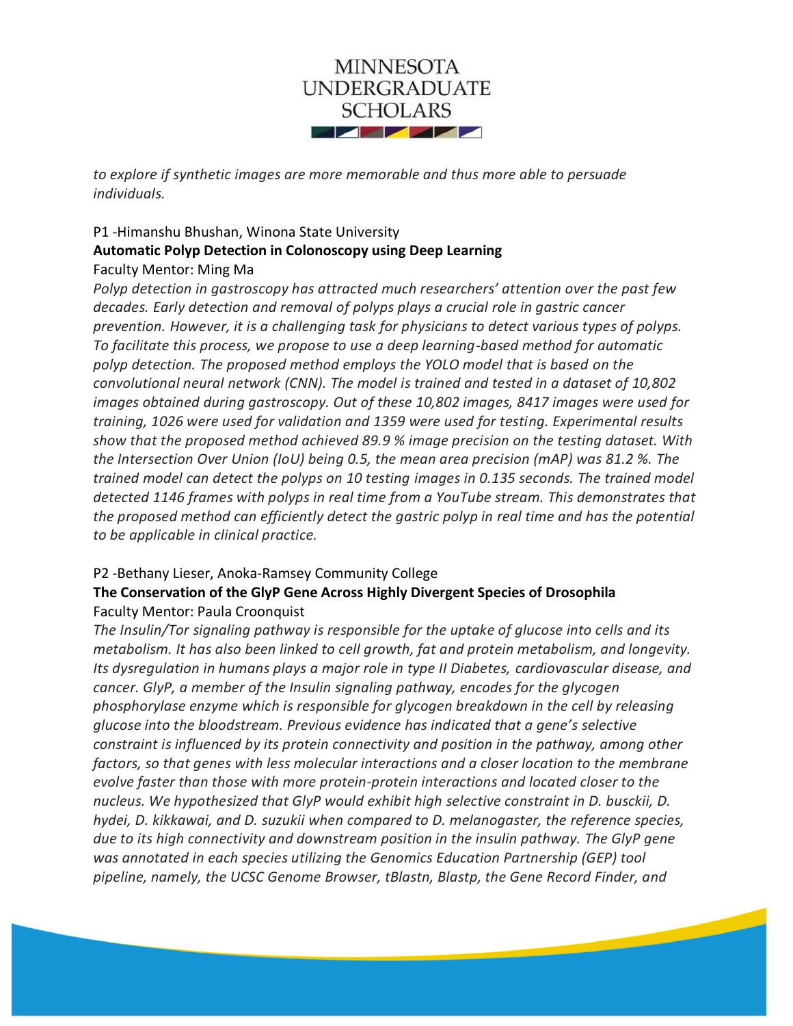

*to explore if synthetic images are more memorable and thus more able to persuade individuals.*

# P1 -Himanshu Bhushan, Winona State University **Automatic Polyp Detection in Colonoscopy using Deep Learning** Faculty Mentor: Ming Ma

*Polyp detection in gastroscopy has attracted much researchers' attention over the past few decades. Early detection and removal of polyps plays a crucial role in gastric cancer prevention. However, it is a challenging task for physicians to detect various types of polyps. To facilitate this process, we propose to use a deep learning-based method for automatic polyp detection. The proposed method employs the YOLO model that is based on the convolutional neural network (CNN). The model is trained and tested in a dataset of 10,802 images obtained during gastroscopy. Out of these 10,802 images, 8417 images were used for training, 1026 were used for validation and 1359 were used for testing. Experimental results show that the proposed method achieved 89.9 % image precision on the testing dataset. With the Intersection Over Union (IoU) being 0.5, the mean area precision (mAP) was 81.2 %. The trained model can detect the polyps on 10 testing images in 0.135 seconds. The trained model detected 1146 frames with polyps in real time from a YouTube stream. This demonstrates that the proposed method can efficiently detect the gastric polyp in real time and has the potential to be applicable in clinical practice.*

# P2 -Bethany Lieser, Anoka-Ramsey Community College

# **The Conservation of the GlyP Gene Across Highly Divergent Species of Drosophila** Faculty Mentor: Paula Croonquist

*The Insulin/Tor signaling pathway is responsible for the uptake of glucose into cells and its metabolism. It has also been linked to cell growth, fat and protein metabolism, and longevity. Its dysregulation in humans plays a major role in type II Diabetes, cardiovascular disease, and cancer. GlyP, a member of the Insulin signaling pathway, encodes for the glycogen phosphorylase enzyme which is responsible for glycogen breakdown in the cell by releasing glucose into the bloodstream. Previous evidence has indicated that a gene's selective constraint is influenced by its protein connectivity and position in the pathway, among other factors, so that genes with less molecular interactions and a closer location to the membrane evolve faster than those with more protein-protein interactions and located closer to the nucleus. We hypothesized that GlyP would exhibit high selective constraint in D. busckii, D. hydei, D. kikkawai, and D. suzukii when compared to D. melanogaster, the reference species, due to its high connectivity and downstream position in the insulin pathway. The GlyP gene was annotated in each species utilizing the Genomics Education Partnership (GEP) tool pipeline, namely, the UCSC Genome Browser, tBlastn, Blastp, the Gene Record Finder, and*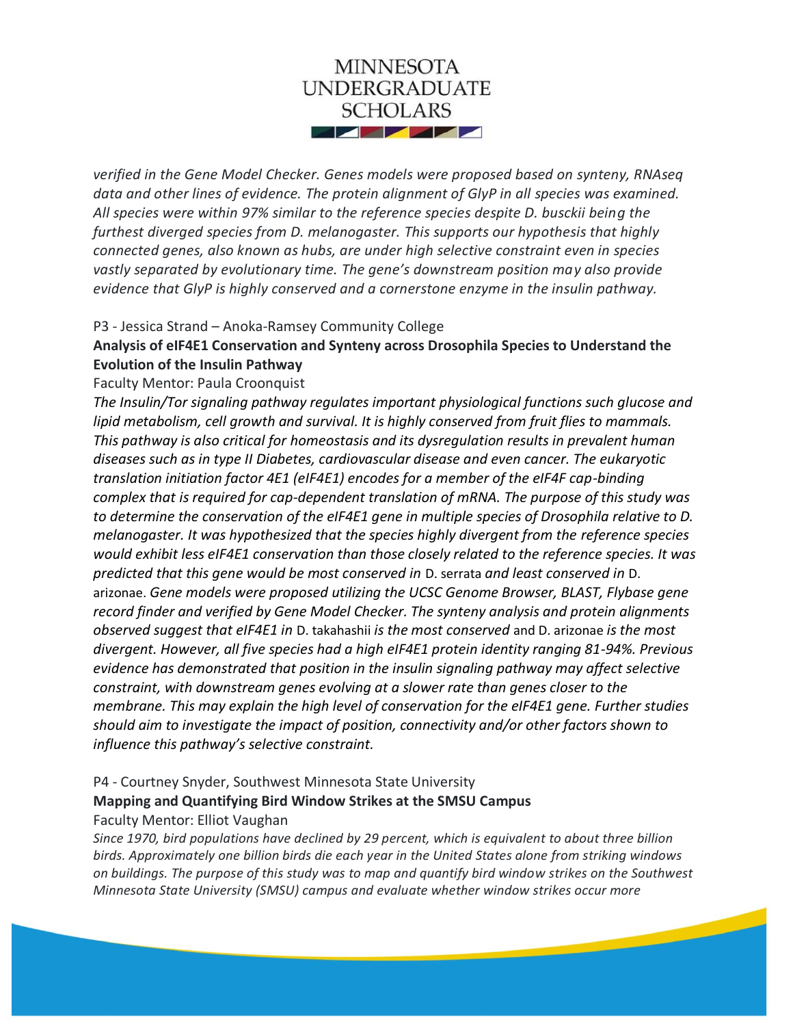

*verified in the Gene Model Checker. Genes models were proposed based on synteny, RNAseq data and other lines of evidence. The protein alignment of GlyP in all species was examined. All species were within 97% similar to the reference species despite D. busckii being the furthest diverged species from D. melanogaster. This supports our hypothesis that highly connected genes, also known as hubs, are under high selective constraint even in species vastly separated by evolutionary time. The gene's downstream position may also provide evidence that GlyP is highly conserved and a cornerstone enzyme in the insulin pathway.*

#### P3 - Jessica Strand – Anoka-Ramsey Community College

# **Analysis of eIF4E1 Conservation and Synteny across Drosophila Species to Understand the Evolution of the Insulin Pathway**

Faculty Mentor: Paula Croonquist

*The Insulin/Tor signaling pathway regulates important physiological functions such glucose and lipid metabolism, cell growth and survival. It is highly conserved from fruit flies to mammals. This pathway is also critical for homeostasis and its dysregulation results in prevalent human diseases such as in type II Diabetes, cardiovascular disease and even cancer. The eukaryotic translation initiation factor 4E1 (eIF4E1) encodes for a member of the eIF4F cap-binding complex that is required for cap-dependent translation of mRNA. The purpose of this study was to determine the conservation of the eIF4E1 gene in multiple species of Drosophila relative to D. melanogaster. It was hypothesized that the species highly divergent from the reference species would exhibit less eIF4E1 conservation than those closely related to the reference species. It was predicted that this gene would be most conserved in* D. serrata *and least conserved in* D. arizonae. *Gene models were proposed utilizing the UCSC Genome Browser, BLAST, Flybase gene record finder and verified by Gene Model Checker. The synteny analysis and protein alignments observed suggest that eIF4E1 in* D. takahashii *is the most conserved* and D. arizonae *is the most divergent. However, all five species had a high eIF4E1 protein identity ranging 81-94%. Previous evidence has demonstrated that position in the insulin signaling pathway may affect selective constraint, with downstream genes evolving at a slower rate than genes closer to the membrane. This may explain the high level of conservation for the eIF4E1 gene. Further studies should aim to investigate the impact of position, connectivity and/or other factors shown to influence this pathway's selective constraint.*

### P4 - Courtney Snyder, Southwest Minnesota State University **Mapping and Quantifying Bird Window Strikes at the SMSU Campus** Faculty Mentor: Elliot Vaughan

*Since 1970, bird populations have declined by 29 percent, which is equivalent to about three billion birds. Approximately one billion birds die each year in the United States alone from striking windows on buildings. The purpose of this study was to map and quantify bird window strikes on the Southwest Minnesota State University (SMSU) campus and evaluate whether window strikes occur more*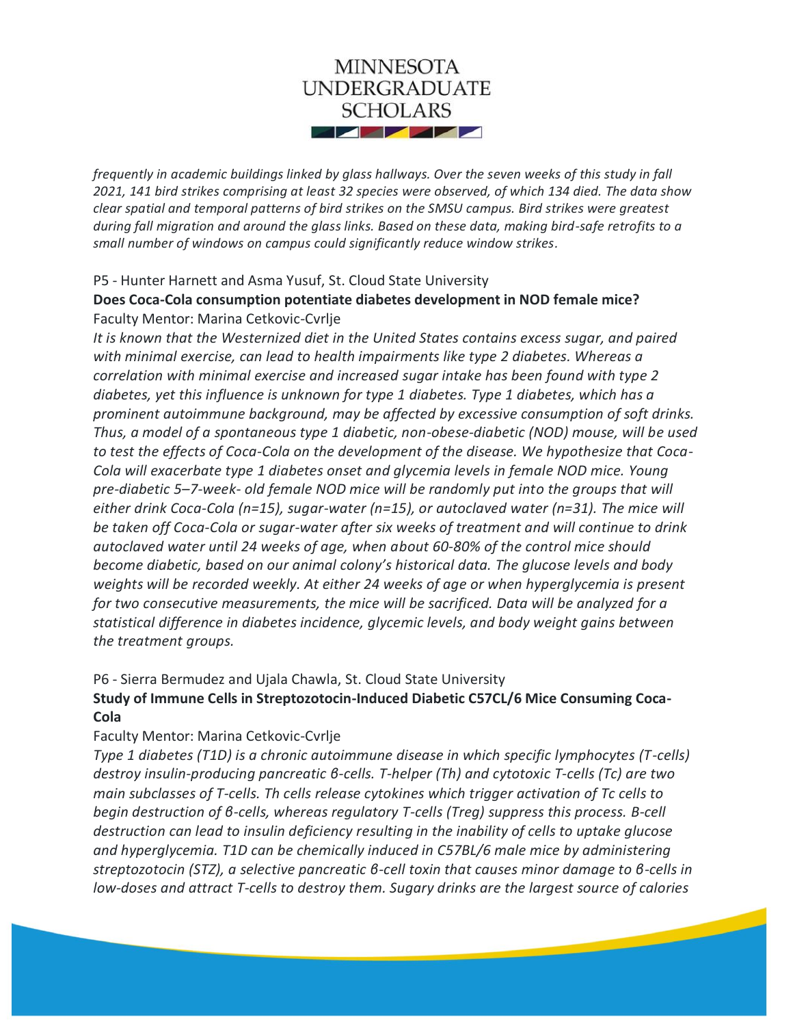

*frequently in academic buildings linked by glass hallways. Over the seven weeks of this study in fall 2021, 141 bird strikes comprising at least 32 species were observed, of which 134 died. The data show clear spatial and temporal patterns of bird strikes on the SMSU campus. Bird strikes were greatest during fall migration and around the glass links. Based on these data, making bird-safe retrofits to a small number of windows on campus could significantly reduce window strikes.*

#### P5 - Hunter Harnett and Asma Yusuf, St. Cloud State University

### **Does Coca-Cola consumption potentiate diabetes development in NOD female mice?** Faculty Mentor: Marina Cetkovic-Cvrlje

*It is known that the Westernized diet in the United States contains excess sugar, and paired with minimal exercise, can lead to health impairments like type 2 diabetes. Whereas a correlation with minimal exercise and increased sugar intake has been found with type 2 diabetes, yet this influence is unknown for type 1 diabetes. Type 1 diabetes, which has a prominent autoimmune background, may be affected by excessive consumption of soft drinks. Thus, a model of a spontaneous type 1 diabetic, non-obese-diabetic (NOD) mouse, will be used to test the effects of Coca-Cola on the development of the disease. We hypothesize that Coca-Cola will exacerbate type 1 diabetes onset and glycemia levels in female NOD mice. Young pre-diabetic 5–7-week- old female NOD mice will be randomly put into the groups that will either drink Coca-Cola (n=15), sugar-water (n=15), or autoclaved water (n=31). The mice will be taken off Coca-Cola or sugar-water after six weeks of treatment and will continue to drink autoclaved water until 24 weeks of age, when about 60-80% of the control mice should become diabetic, based on our animal colony's historical data. The glucose levels and body weights will be recorded weekly. At either 24 weeks of age or when hyperglycemia is present for two consecutive measurements, the mice will be sacrificed. Data will be analyzed for a statistical difference in diabetes incidence, glycemic levels, and body weight gains between the treatment groups.*

### P6 - Sierra Bermudez and Ujala Chawla, St. Cloud State University

# **Study of Immune Cells in Streptozotocin-Induced Diabetic C57CL/6 Mice Consuming Coca-Cola**

### Faculty Mentor: Marina Cetkovic-Cvrlje

*Type 1 diabetes (T1D) is a chronic autoimmune disease in which specific lymphocytes (T-cells) destroy insulin-producing pancreatic β-cells. T-helper (Th) and cytotoxic T-cells (Tc) are two main subclasses of T-cells. Th cells release cytokines which trigger activation of Tc cells to begin destruction of β-cells, whereas regulatory T-cells (Treg) suppress this process. Β-cell destruction can lead to insulin deficiency resulting in the inability of cells to uptake glucose and hyperglycemia. T1D can be chemically induced in C57BL/6 male mice by administering streptozotocin (STZ), a selective pancreatic β-cell toxin that causes minor damage to β-cells in low-doses and attract T-cells to destroy them. Sugary drinks are the largest source of calories*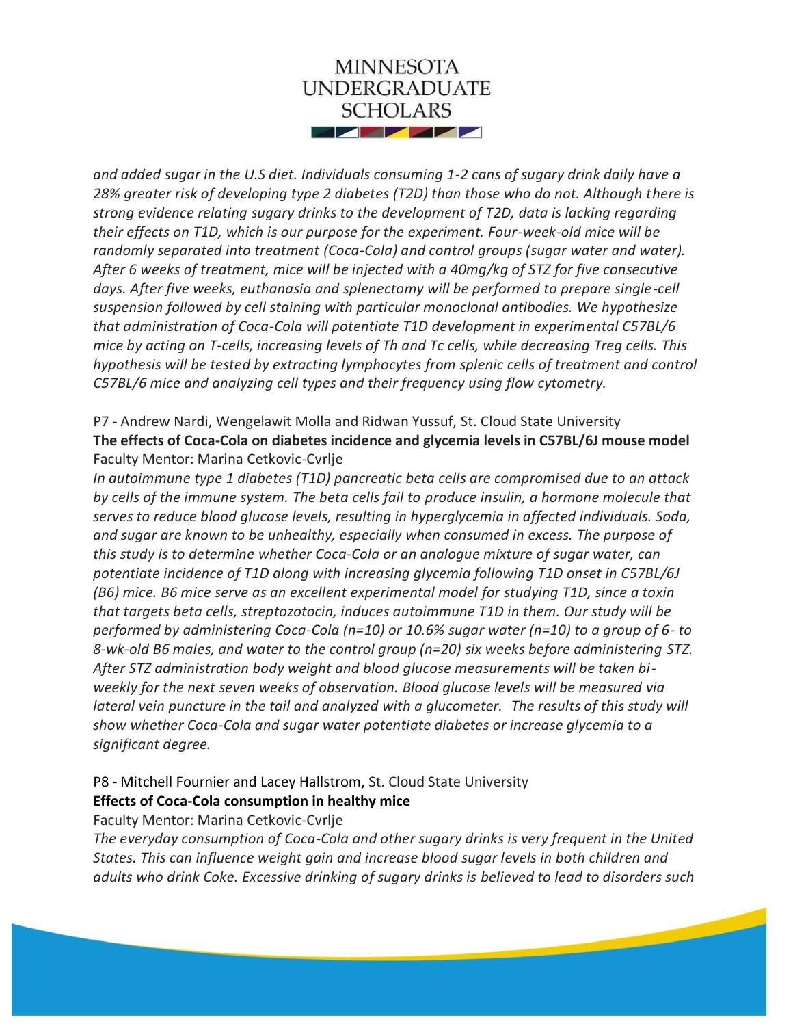

*and added sugar in the U.S diet. Individuals consuming 1-2 cans of sugary drink daily have a 28% greater risk of developing type 2 diabetes (T2D) than those who do not. Although there is strong evidence relating sugary drinks to the development of T2D, data is lacking regarding their effects on T1D, which is our purpose for the experiment. Four-week-old mice will be randomly separated into treatment (Coca-Cola) and control groups (sugar water and water). After 6 weeks of treatment, mice will be injected with a 40mg/kg of STZ for five consecutive days. After five weeks, euthanasia and splenectomy will be performed to prepare single-cell suspension followed by cell staining with particular monoclonal antibodies. We hypothesize that administration of Coca-Cola will potentiate T1D development in experimental C57BL/6 mice by acting on T-cells, increasing levels of Th and Tc cells, while decreasing Treg cells. This hypothesis will be tested by extracting lymphocytes from splenic cells of treatment and control C57BL/6 mice and analyzing cell types and their frequency using flow cytometry.*

# P7 - Andrew Nardi, Wengelawit Molla and Ridwan Yussuf, St. Cloud State University **The effects of Coca-Cola on diabetes incidence and glycemia levels in C57BL/6J mouse model** Faculty Mentor: Marina Cetkovic-Cvrlje

*In autoimmune type 1 diabetes (T1D) pancreatic beta cells are compromised due to an attack by cells of the immune system. The beta cells fail to produce insulin, a hormone molecule that serves to reduce blood glucose levels, resulting in hyperglycemia in affected individuals. Soda, and sugar are known to be unhealthy, especially when consumed in excess. The purpose of this study is to determine whether Coca-Cola or an analogue mixture of sugar water, can potentiate incidence of T1D along with increasing glycemia following T1D onset in C57BL/6J (B6) mice. B6 mice serve as an excellent experimental model for studying T1D, since a toxin that targets beta cells, streptozotocin, induces autoimmune T1D in them. Our study will be performed by administering Coca-Cola (n=10) or 10.6% sugar water (n=10) to a group of 6- to 8-wk-old B6 males, and water to the control group (n=20) six weeks before administering STZ. After STZ administration body weight and blood glucose measurements will be taken biweekly for the next seven weeks of observation. Blood glucose levels will be measured via lateral vein puncture in the tail and analyzed with a glucometer. The results of this study will show whether Coca-Cola and sugar water potentiate diabetes or increase glycemia to a significant degree.*

### P8 - Mitchell Fournier and Lacey Hallstrom, St. Cloud State University **Effects of Coca-Cola consumption in healthy mice**

Faculty Mentor: Marina Cetkovic-Cvrlje

*The everyday consumption of Coca-Cola and other sugary drinks is very frequent in the United States. This can influence weight gain and increase blood sugar levels in both children and adults who drink Coke. Excessive drinking of sugary drinks is believed to lead to disorders such*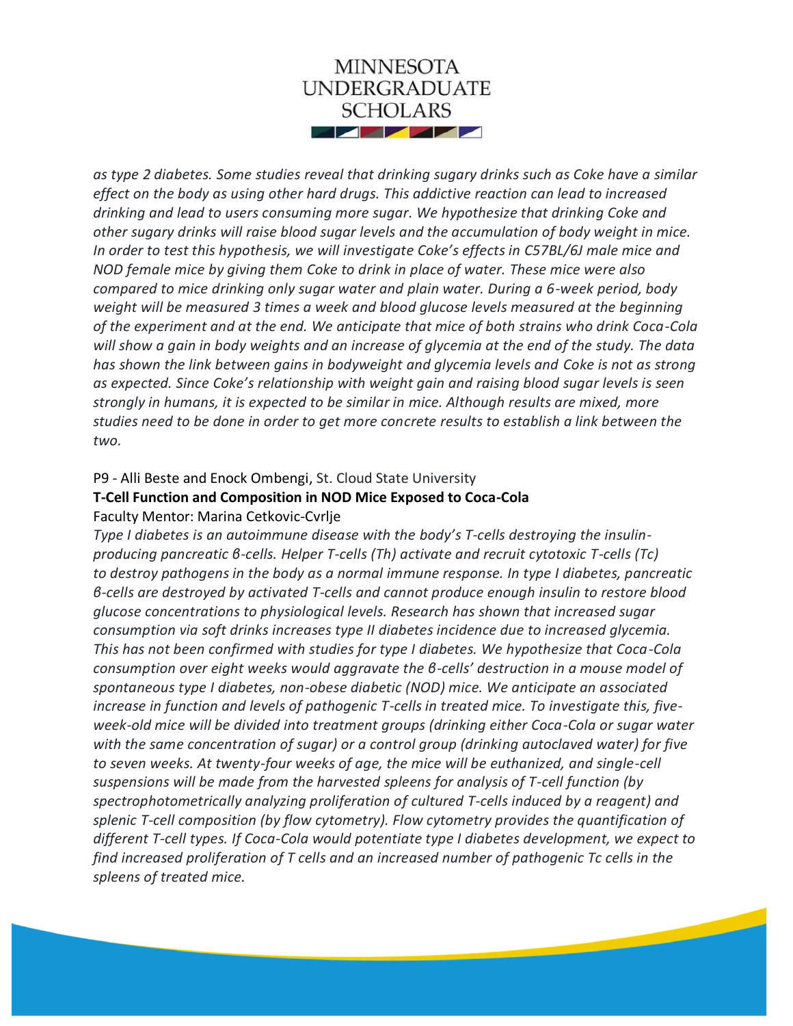

*as type 2 diabetes. Some studies reveal that drinking sugary drinks such as Coke have a similar effect on the body as using other hard drugs. This addictive reaction can lead to increased drinking and lead to users consuming more sugar. We hypothesize that drinking Coke and other sugary drinks will raise blood sugar levels and the accumulation of body weight in mice. In order to test this hypothesis, we will investigate Coke's effects in C57BL/6J male mice and NOD female mice by giving them Coke to drink in place of water. These mice were also compared to mice drinking only sugar water and plain water. During a 6-week period, body weight will be measured 3 times a week and blood glucose levels measured at the beginning of the experiment and at the end. We anticipate that mice of both strains who drink Coca-Cola will show a gain in body weights and an increase of glycemia at the end of the study. The data has shown the link between gains in bodyweight and glycemia levels and Coke is not as strong as expected. Since Coke's relationship with weight gain and raising blood sugar levels is seen strongly in humans, it is expected to be similar in mice. Although results are mixed, more studies need to be done in order to get more concrete results to establish a link between the two.*

### P9 - Alli Beste and Enock Ombengi, St. Cloud State University

# **T-Cell Function and Composition in NOD Mice Exposed to Coca-Cola** Faculty Mentor: Marina Cetkovic-Cvrlje

*Type I diabetes is an autoimmune disease with the body's T-cells destroying the insulinproducing pancreatic β-cells. Helper T-cells (Th) activate and recruit cytotoxic T-cells (Tc) to destroy pathogens in the body as a normal immune response. In type I diabetes, pancreatic β-cells are destroyed by activated T-cells and cannot produce enough insulin to restore blood glucose concentrations to physiological levels. Research has shown that increased sugar consumption via soft drinks increases type II diabetes incidence due to increased glycemia. This has not been confirmed with studies for type I diabetes. We hypothesize that Coca-Cola consumption over eight weeks would aggravate the β-cells' destruction in a mouse model of spontaneous type I diabetes, non-obese diabetic (NOD) mice. We anticipate an associated increase in function and levels of pathogenic T-cells in treated mice. To investigate this, fiveweek-old mice will be divided into treatment groups (drinking either Coca-Cola or sugar water with the same concentration of sugar) or a control group (drinking autoclaved water) for five to seven weeks. At twenty-four weeks of age, the mice will be euthanized, and single-cell suspensions will be made from the harvested spleens for analysis of T-cell function (by spectrophotometrically analyzing proliferation of cultured T-cells induced by a reagent) and splenic T-cell composition (by flow cytometry). Flow cytometry provides the quantification of different T-cell types. If Coca-Cola would potentiate type I diabetes development, we expect to find increased proliferation of T cells and an increased number of pathogenic Tc cells in the spleens of treated mice.*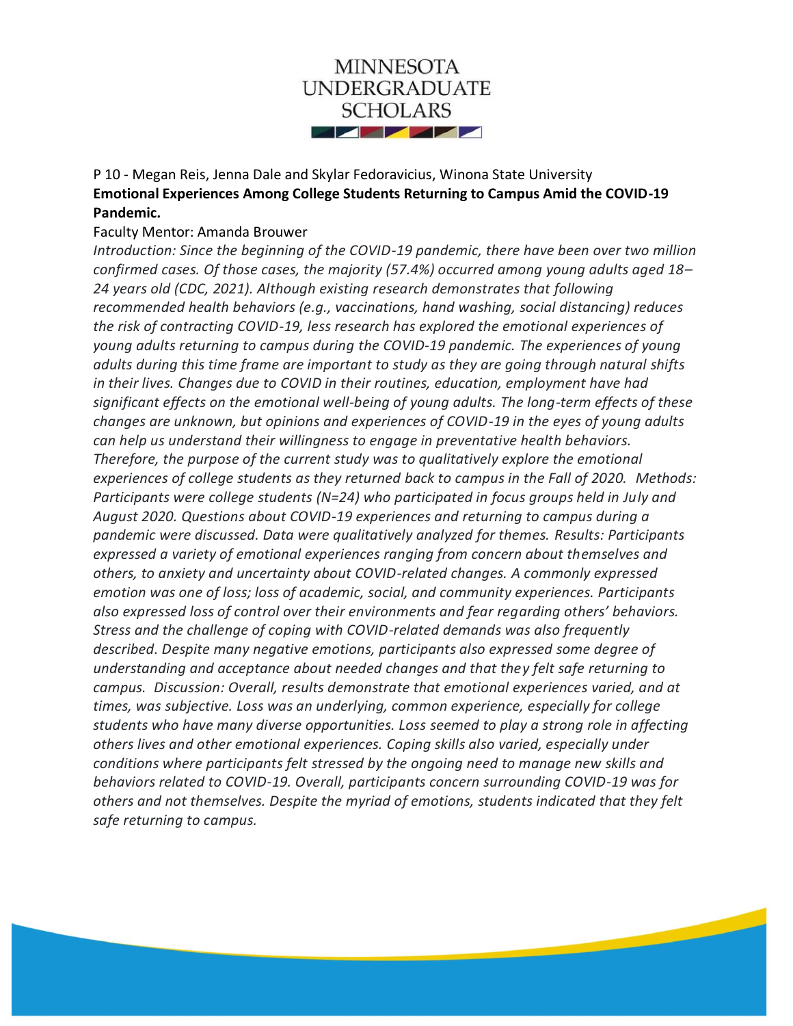

# P 10 - Megan Reis, Jenna Dale and Skylar Fedoravicius, Winona State University **Emotional Experiences Among College Students Returning to Campus Amid the COVID-19 Pandemic.**

#### Faculty Mentor: Amanda Brouwer

*Introduction: Since the beginning of the COVID-19 pandemic, there have been over two million confirmed cases. Of those cases, the majority (57.4%) occurred among young adults aged 18– 24 years old (CDC, 2021). Although existing research demonstrates that following recommended health behaviors (e.g., vaccinations, hand washing, social distancing) reduces the risk of contracting COVID-19, less research has explored the emotional experiences of young adults returning to campus during the COVID-19 pandemic. The experiences of young adults during this time frame are important to study as they are going through natural shifts in their lives. Changes due to COVID in their routines, education, employment have had significant effects on the emotional well-being of young adults. The long-term effects of these changes are unknown, but opinions and experiences of COVID-19 in the eyes of young adults can help us understand their willingness to engage in preventative health behaviors. Therefore, the purpose of the current study was to qualitatively explore the emotional experiences of college students as they returned back to campus in the Fall of 2020. Methods: Participants were college students (N=24) who participated in focus groups held in July and August 2020. Questions about COVID-19 experiences and returning to campus during a pandemic were discussed. Data were qualitatively analyzed for themes. Results: Participants expressed a variety of emotional experiences ranging from concern about themselves and others, to anxiety and uncertainty about COVID-related changes. A commonly expressed emotion was one of loss; loss of academic, social, and community experiences. Participants also expressed loss of control over their environments and fear regarding others' behaviors. Stress and the challenge of coping with COVID-related demands was also frequently described. Despite many negative emotions, participants also expressed some degree of understanding and acceptance about needed changes and that they felt safe returning to campus. Discussion: Overall, results demonstrate that emotional experiences varied, and at times, was subjective. Loss was an underlying, common experience, especially for college students who have many diverse opportunities. Loss seemed to play a strong role in affecting others lives and other emotional experiences. Coping skills also varied, especially under conditions where participants felt stressed by the ongoing need to manage new skills and behaviors related to COVID-19. Overall, participants concern surrounding COVID-19 was for others and not themselves. Despite the myriad of emotions, students indicated that they felt safe returning to campus.*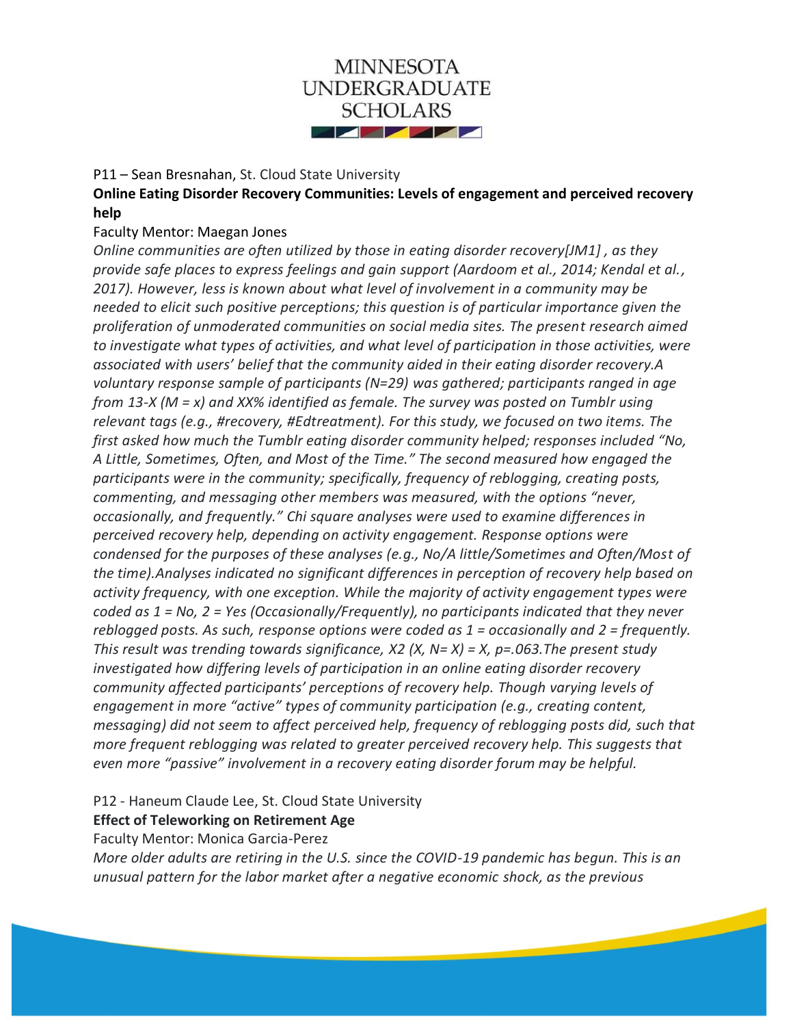

### P11 – Sean Bresnahan, St. Cloud State University

**Online Eating Disorder Recovery Communities: Levels of engagement and perceived recovery help**

### Faculty Mentor: Maegan Jones

*Online communities are often utilized by those in eating disorder recovery[JM1] , as they provide safe places to express feelings and gain support (Aardoom et al., 2014; Kendal et al., 2017). However, less is known about what level of involvement in a community may be needed to elicit such positive perceptions; this question is of particular importance given the proliferation of unmoderated communities on social media sites. The present research aimed to investigate what types of activities, and what level of participation in those activities, were associated with users' belief that the community aided in their eating disorder recovery.A voluntary response sample of participants (N=29) was gathered; participants ranged in age from 13-X (M = x) and XX% identified as female. The survey was posted on Tumblr using relevant tags (e.g., #recovery, #Edtreatment). For this study, we focused on two items. The first asked how much the Tumblr eating disorder community helped; responses included "No, A Little, Sometimes, Often, and Most of the Time." The second measured how engaged the participants were in the community; specifically, frequency of reblogging, creating posts, commenting, and messaging other members was measured, with the options "never, occasionally, and frequently." Chi square analyses were used to examine differences in perceived recovery help, depending on activity engagement. Response options were condensed for the purposes of these analyses (e.g., No/A little/Sometimes and Often/Most of the time).Analyses indicated no significant differences in perception of recovery help based on activity frequency, with one exception. While the majority of activity engagement types were coded as 1 = No, 2 = Yes (Occasionally/Frequently), no participants indicated that they never reblogged posts. As such, response options were coded as 1 = occasionally and 2 = frequently. This result was trending towards significance, X2 (X, N= X) = X, p=.063.The present study investigated how differing levels of participation in an online eating disorder recovery community affected participants' perceptions of recovery help. Though varying levels of engagement in more "active" types of community participation (e.g., creating content, messaging) did not seem to affect perceived help, frequency of reblogging posts did, such that more frequent reblogging was related to greater perceived recovery help. This suggests that even more "passive" involvement in a recovery eating disorder forum may be helpful.*

P12 - Haneum Claude Lee, St. Cloud State University

**Effect of Teleworking on Retirement Age**

Faculty Mentor: Monica Garcia-Perez

*More older adults are retiring in the U.S. since the COVID-19 pandemic has begun. This is an unusual pattern for the labor market after a negative economic shock, as the previous*